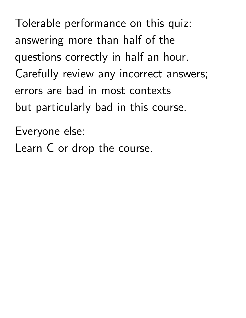Tolerable performance on this quiz: answering more than half of the questions correctly in half an hour. Carefully review any incorrect answers; errors are bad in most contexts but particularly bad in this course.

Everyone else:

Learn C or drop the course.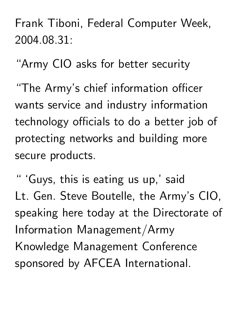Frank Tiboni, Federal Computer Week, 2004.08.31:

"Army CIO asks for better security

"The Army's chief information officer wants service and industry information technology officials to do a better job of protecting networks and building more secure products.

" 'Guys, this is eating us up,' said Lt. Gen. Steve Boutelle, the Army's CIO, speaking here today at the Directorate of Information Management/Army Knowledge Management Conference sponsored by AFCEA International.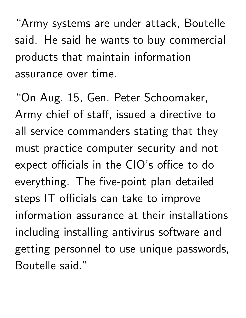"Army systems are under attack, Boutelle said. He said he wants to buy commercial products that maintain information assurance over time.

"On Aug. 15, Gen. Peter Schoomaker, Army chief of staff, issued a directive to all service commanders stating that they must practice computer security and not expect officials in the CIO's office to do everything. The five-point plan detailed steps IT officials can take to improve information assurance at their installations including installing antivirus software and getting personnel to use unique passwords, Boutelle said."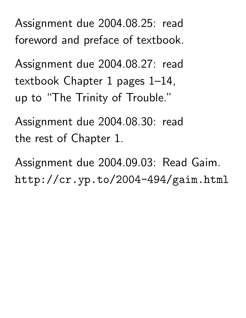Assignment due 2004.08.25: read foreword and preface of textbook.

Assignment due 2004.08.27: read textbook Chapter 1 pages 1–14, up to "The Trinity of Trouble."

Assignment due 2004.08.30: read the rest of Chapter 1.

Assignment due 2004.09.03: Read Gaim. http://cr.yp.to/2004-494/gaim.html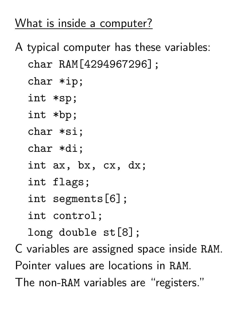## What is inside a computer?

- A typical computer has these variables: char RAM[4294967296];
	- char \*ip;
	- int \*sp;
	- int \*bp;
	- char \*si;
	- char \*di;
	- int ax, bx, cx, dx;
	- int flags;
	- int segments[6];
	- int control;
	- long double st[8];
- C variables are assigned space inside RAM. Pointer values are locations in RAM. The non-RAM variables are "registers."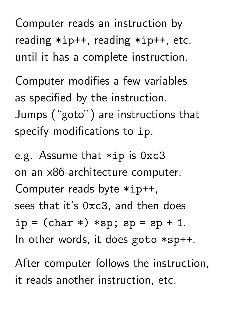Computer reads an instruction by reading \*ip++, reading \*ip++, etc. until it has a complete instruction.

Computer modifies a few variables as specified by the instruction. Jumps ("goto") are instructions that specify modifications to ip.

e.g. Assume that \*ip is 0xc3 on an x86-architecture computer. Computer reads byte \*ip++, sees that it's 0xc3, and then does  $ip = (char *)*sp; sp = sp + 1.$ In other words, it does goto \*sp++.

After computer follows the instruction, it reads another instruction, etc.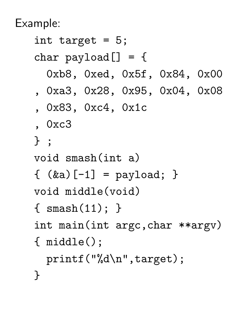Example:

int target = 5; char  $payload[] = {$ 0xb8, 0xed, 0x5f, 0x84, 0x00 , 0xa3, 0x28, 0x95, 0x04, 0x08 , 0x83, 0xc4, 0x1c , 0xc3 } ; void smash(int a)  $\{ (ka) [-1] = payload; \}$ void middle(void) { smash(11); } int main(int argc,char \*\*argv) { middle(); printf("%d\n",target); }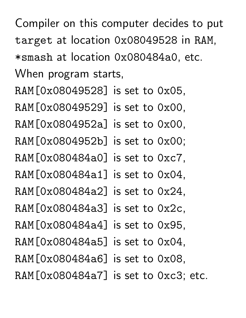Compiler on this computer decides to put target at location 0x08049528 in RAM, \*smash at location 0x080484a0, etc. When program starts, RAM[0x08049528] is set to 0x05, RAM[0x08049529] is set to 0x00, RAM[0x0804952a] is set to 0x00, RAM[0x0804952b] is set to 0x00; RAM[0x080484a0] is set to 0xc7, RAM[0x080484a1] is set to 0x04, RAM[0x080484a2] is set to 0x24, RAM[0x080484a3] is set to 0x2c, RAM[0x080484a4] is set to 0x95, RAM[0x080484a5] is set to 0x04, RAM[0x080484a6] is set to 0x08, RAM[0x080484a7] is set to 0xc3; etc.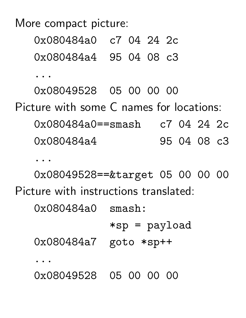More compact picture:

0x080484a0 c7 04 24 2c 0x080484a4 95 04 08 c3

...

0x08049528 05 00 00 00

Picture with some C names for locations:

0x080484a0==smash c7 04 24 2c 0x080484a4 95 04 08 c3

...

0x08049528==&target 05 00 00 00 Picture with instructions translated:

0x080484a0 smash:

\*sp = payload

0x080484a7 goto \*sp++

...

0x08049528 05 00 00 00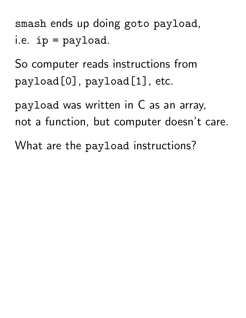smash ends up doing goto payload, i.e. ip = payload.

So computer reads instructions from payload[0], payload[1], etc.

payload was written in C as an array, not a function, but computer doesn't care.

What are the payload instructions?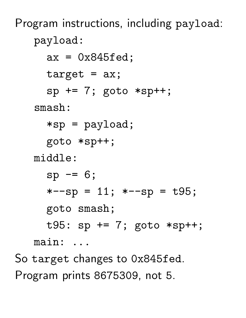Program instructions, including payload: payload:  $ax = 0x845fed;$  $target = ax;$  $sp == 7$ ; goto \*sp++; smash: \*sp = payload; goto \*sp++; middle:  $sp = 6;$  $*--sp = 11; *--sp = t95;$ goto smash; t95: sp += 7; goto \*sp++; main: ...

So target changes to 0x845fed. Program prints 8675309, not 5.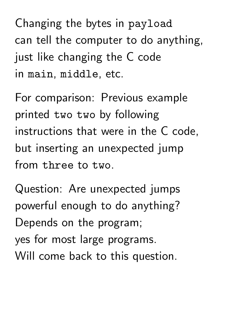Changing the bytes in payload can tell the computer to do anything, just like changing the C code in main, middle, etc.

For comparison: Previous example printed two two by following instructions that were in the C code, but inserting an unexpected jump from three to two.

Question: Are unexpected jumps powerful enough to do anything? Depends on the program; yes for most large programs. Will come back to this question.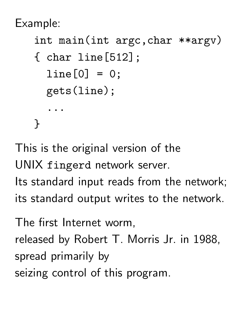Example:

```
int main(int argc,char **argv)
```

```
{ char line[512];
  line[0] = 0;gets(line);
  ...
}
```
This is the original version of the UNIX fingerd network server. Its standard input reads from the network; its standard output writes to the network.

The first Internet worm, released by Robert T. Morris Jr. in 1988, spread primarily by seizing control of this program.